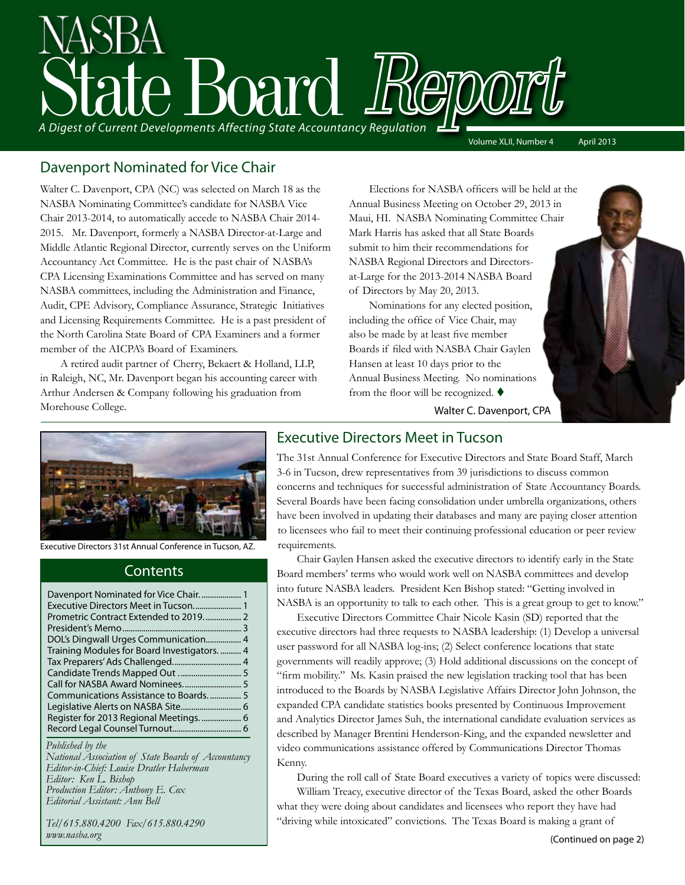# State Board Report *A Digest of Current Developments Affecting State Accountancy Regulation*

Volume XLII, Number 4 April 2013

# Davenport Nominated for Vice Chair

Walter C. Davenport, CPA (NC) was selected on March 18 as the NASBA Nominating Committee's candidate for NASBA Vice Chair 2013-2014, to automatically accede to NASBA Chair 2014- 2015. Mr. Davenport, formerly a NASBA Director-at-Large and Middle Atlantic Regional Director, currently serves on the Uniform Accountancy Act Committee. He is the past chair of NASBA's CPA Licensing Examinations Committee and has served on many NASBA committees, including the Administration and Finance, Audit, CPE Advisory, Compliance Assurance, Strategic Initiatives and Licensing Requirements Committee. He is a past president of the North Carolina State Board of CPA Examiners and a former member of the AICPA's Board of Examiners.

A retired audit partner of Cherry, Bekaert & Holland, LLP, in Raleigh, NC, Mr. Davenport began his accounting career with Arthur Andersen & Company following his graduation from Morehouse College.

 Elections for NASBA officers will be held at the Annual Business Meeting on October 29, 2013 in Maui, HI. NASBA Nominating Committee Chair Mark Harris has asked that all State Boards submit to him their recommendations for NASBA Regional Directors and Directorsat-Large for the 2013-2014 NASBA Board of Directors by May 20, 2013.

Nominations for any elected position, including the office of Vice Chair, may also be made by at least five member Boards if filed with NASBA Chair Gaylen Hansen at least 10 days prior to the Annual Business Meeting. No nominations from the floor will be recognized.  $\blacklozenge$ 

Walter C. Davenport, CPA



Executive Directors 31st Annual Conference in Tucson, AZ.

#### **Contents**

| Prometric Contract Extended to 2019 2        |  |
|----------------------------------------------|--|
|                                              |  |
| DOL's Dingwall Urges Communication 4         |  |
| Training Modules for Board Investigators.  4 |  |
|                                              |  |
|                                              |  |
|                                              |  |
| Communications Assistance to Boards 5        |  |
|                                              |  |
|                                              |  |
|                                              |  |
|                                              |  |

#### *Published by the*

*National Association of State Boards of Accountancy Editor-in-Chief: Louise Dratler Haberman Editor: Ken L. Bishop Production Editor: Anthony E. Cox Editorial Assistant: Ann Bell* 

*Tel/615.880.4200 Fax/615.880.4290 www.nasba.org*

#### Executive Directors Meet in Tucson

The 31st Annual Conference for Executive Directors and State Board Staff, March 3-6 in Tucson, drew representatives from 39 jurisdictions to discuss common concerns and techniques for successful administration of State Accountancy Boards. Several Boards have been facing consolidation under umbrella organizations, others have been involved in updating their databases and many are paying closer attention to licensees who fail to meet their continuing professional education or peer review requirements.

 Chair Gaylen Hansen asked the executive directors to identify early in the State Board members' terms who would work well on NASBA committees and develop into future NASBA leaders. President Ken Bishop stated: "Getting involved in NASBA is an opportunity to talk to each other. This is a great group to get to know."

Executive Directors Committee Chair Nicole Kasin (SD) reported that the executive directors had three requests to NASBA leadership: (1) Develop a universal user password for all NASBA log-ins; (2) Select conference locations that state governments will readily approve; (3) Hold additional discussions on the concept of "firm mobility." Ms. Kasin praised the new legislation tracking tool that has been introduced to the Boards by NASBA Legislative Affairs Director John Johnson, the expanded CPA candidate statistics books presented by Continuous Improvement and Analytics Director James Suh, the international candidate evaluation services as described by Manager Brentini Henderson-King, and the expanded newsletter and video communications assistance offered by Communications Director Thomas Kenny.

During the roll call of State Board executives a variety of topics were discussed: William Treacy, executive director of the Texas Board, asked the other Boards what they were doing about candidates and licensees who report they have had "driving while intoxicated" convictions. The Texas Board is making a grant of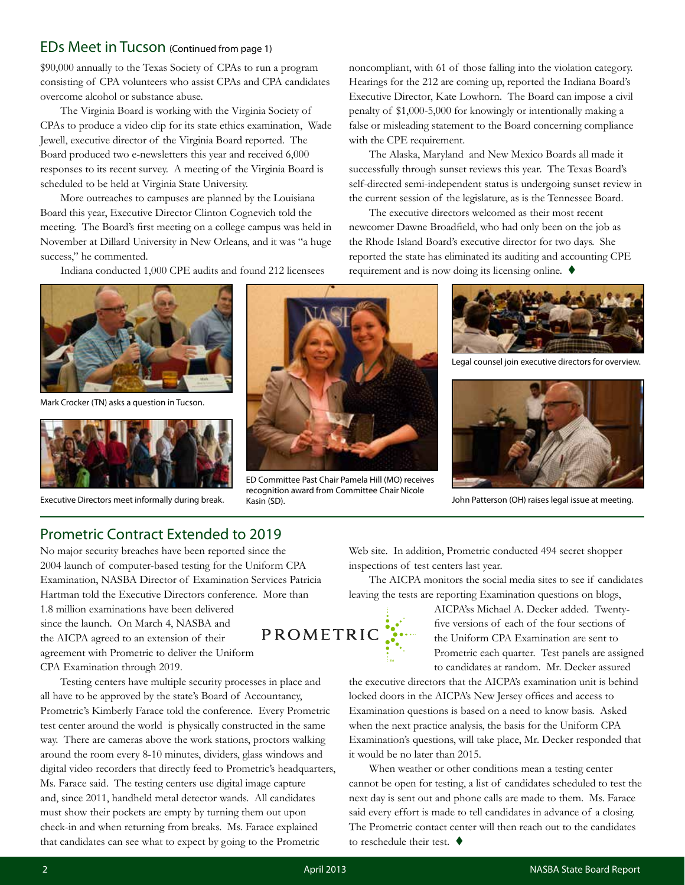#### EDs Meet in Tucson (Continued from page 1)

\$90,000 annually to the Texas Society of CPAs to run a program consisting of CPA volunteers who assist CPAs and CPA candidates overcome alcohol or substance abuse.

The Virginia Board is working with the Virginia Society of CPAs to produce a video clip for its state ethics examination, Wade Jewell, executive director of the Virginia Board reported. The Board produced two e-newsletters this year and received 6,000 responses to its recent survey. A meeting of the Virginia Board is scheduled to be held at Virginia State University.

More outreaches to campuses are planned by the Louisiana Board this year, Executive Director Clinton Cognevich told the meeting. The Board's first meeting on a college campus was held in November at Dillard University in New Orleans, and it was "a huge success," he commented.

Indiana conducted 1,000 CPE audits and found 212 licensees



Mark Crocker (TN) asks a question in Tucson.





ED Committee Past Chair Pamela Hill (MO) receives recognition award from Committee Chair Nicole Executive Directors meet informally during break. Kasin (SD). John Patterson (OH) raises legal issue at meeting.

noncompliant, with 61 of those falling into the violation category. Hearings for the 212 are coming up, reported the Indiana Board's Executive Director, Kate Lowhorn. The Board can impose a civil penalty of \$1,000-5,000 for knowingly or intentionally making a false or misleading statement to the Board concerning compliance with the CPE requirement.

The Alaska, Maryland and New Mexico Boards all made it successfully through sunset reviews this year. The Texas Board's self-directed semi-independent status is undergoing sunset review in the current session of the legislature, as is the Tennessee Board.

The executive directors welcomed as their most recent newcomer Dawne Broadfield, who had only been on the job as the Rhode Island Board's executive director for two days. She reported the state has eliminated its auditing and accounting CPE requirement and is now doing its licensing online.  $\blacklozenge$ 



Legal counsel join executive directors for overview.



#### Prometric Contract Extended to 2019

No major security breaches have been reported since the 2004 launch of computer-based testing for the Uniform CPA Examination, NASBA Director of Examination Services Patricia Hartman told the Executive Directors conference. More than 1.8 million examinations have been delivered since the launch. On March 4, NASBA and the AICPA agreed to an extension of their agreement with Prometric to deliver the Uniform CPA Examination through 2019.

Testing centers have multiple security processes in place and all have to be approved by the state's Board of Accountancy, Prometric's Kimberly Farace told the conference. Every Prometric test center around the world is physically constructed in the same way. There are cameras above the work stations, proctors walking around the room every 8-10 minutes, dividers, glass windows and digital video recorders that directly feed to Prometric's headquarters, Ms. Farace said. The testing centers use digital image capture and, since 2011, handheld metal detector wands. All candidates must show their pockets are empty by turning them out upon check-in and when returning from breaks. Ms. Farace explained that candidates can see what to expect by going to the Prometric

Web site. In addition, Prometric conducted 494 secret shopper inspections of test centers last year.

The AICPA monitors the social media sites to see if candidates leaving the tests are reporting Examination questions on blogs,

> AICPA'ss Michael A. Decker added. Twentyfive versions of each of the four sections of the Uniform CPA Examination are sent to Prometric each quarter. Test panels are assigned to candidates at random. Mr. Decker assured

the executive directors that the AICPA's examination unit is behind locked doors in the AICPA's New Jersey offices and access to Examination questions is based on a need to know basis. Asked when the next practice analysis, the basis for the Uniform CPA Examination's questions, will take place, Mr. Decker responded that it would be no later than 2015.

When weather or other conditions mean a testing center cannot be open for testing, a list of candidates scheduled to test the next day is sent out and phone calls are made to them. Ms. Farace said every effort is made to tell candidates in advance of a closing. The Prometric contact center will then reach out to the candidates to reschedule their test.  $\blacklozenge$ 

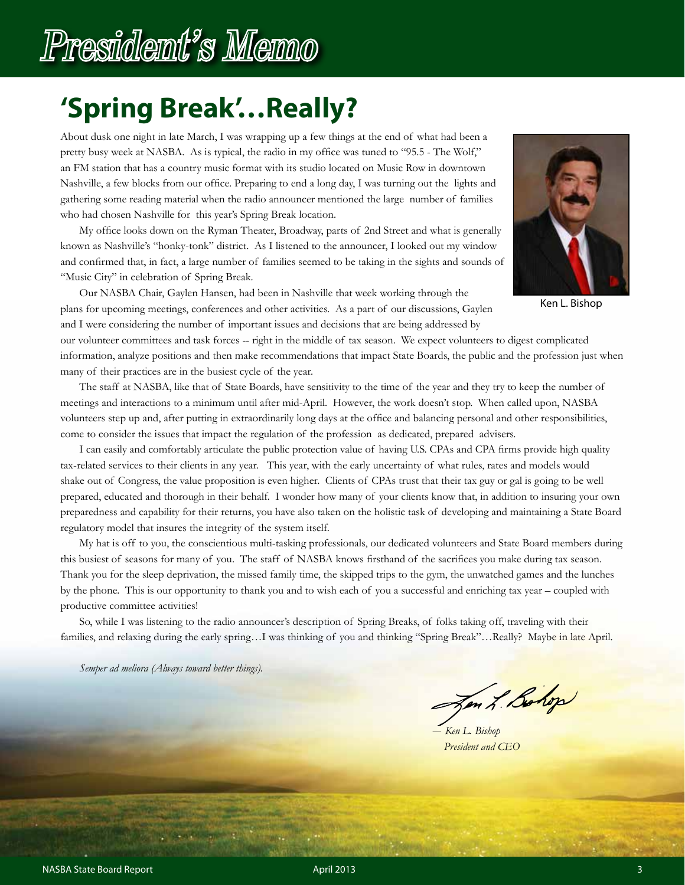# **'Spring Break'…Really?**

About dusk one night in late March, I was wrapping up a few things at the end of what had been a pretty busy week at NASBA. As is typical, the radio in my office was tuned to "95.5 - The Wolf," an FM station that has a country music format with its studio located on Music Row in downtown Nashville, a few blocks from our office. Preparing to end a long day, I was turning out the lights and gathering some reading material when the radio announcer mentioned the large number of families who had chosen Nashville for this year's Spring Break location.

 My office looks down on the Ryman Theater, Broadway, parts of 2nd Street and what is generally known as Nashville's "honky-tonk" district. As I listened to the announcer, I looked out my window and confirmed that, in fact, a large number of families seemed to be taking in the sights and sounds of "Music City" in celebration of Spring Break.



Ken L. Bishop

 Our NASBA Chair, Gaylen Hansen, had been in Nashville that week working through the plans for upcoming meetings, conferences and other activities. As a part of our discussions, Gaylen and I were considering the number of important issues and decisions that are being addressed by

our volunteer committees and task forces -- right in the middle of tax season. We expect volunteers to digest complicated information, analyze positions and then make recommendations that impact State Boards, the public and the profession just when many of their practices are in the busiest cycle of the year.

The staff at NASBA, like that of State Boards, have sensitivity to the time of the year and they try to keep the number of meetings and interactions to a minimum until after mid-April. However, the work doesn't stop. When called upon, NASBA volunteers step up and, after putting in extraordinarily long days at the office and balancing personal and other responsibilities, come to consider the issues that impact the regulation of the profession as dedicated, prepared advisers.

 I can easily and comfortably articulate the public protection value of having U.S. CPAs and CPA firms provide high quality tax-related services to their clients in any year. This year, with the early uncertainty of what rules, rates and models would shake out of Congress, the value proposition is even higher. Clients of CPAs trust that their tax guy or gal is going to be well prepared, educated and thorough in their behalf. I wonder how many of your clients know that, in addition to insuring your own preparedness and capability for their returns, you have also taken on the holistic task of developing and maintaining a State Board regulatory model that insures the integrity of the system itself.

My hat is off to you, the conscientious multi-tasking professionals, our dedicated volunteers and State Board members during this busiest of seasons for many of you. The staff of NASBA knows firsthand of the sacrifices you make during tax season. Thank you for the sleep deprivation, the missed family time, the skipped trips to the gym, the unwatched games and the lunches by the phone. This is our opportunity to thank you and to wish each of you a successful and enriching tax year – coupled with productive committee activities!

So, while I was listening to the radio announcer's description of Spring Breaks, of folks taking off, traveling with their families, and relaxing during the early spring…I was thinking of you and thinking "Spring Break"…Really? Maybe in late April.

*Semper ad meliora (Always toward better things).*

on L. Bohop

 *― Ken L. Bishop President and CEO*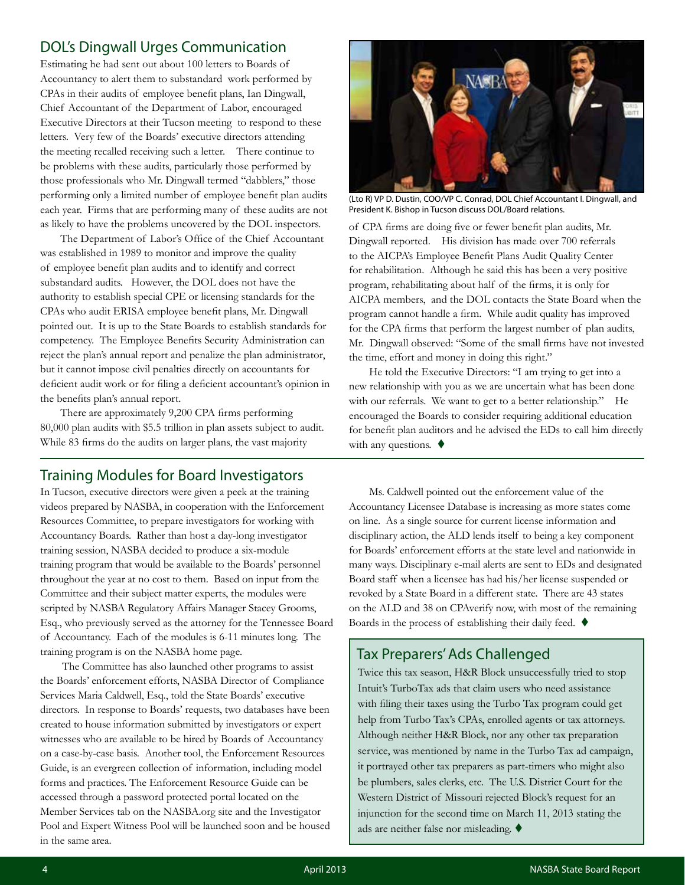### DOL's Dingwall Urges Communication

Estimating he had sent out about 100 letters to Boards of Accountancy to alert them to substandard work performed by CPAs in their audits of employee benefit plans, Ian Dingwall, Chief Accountant of the Department of Labor, encouraged Executive Directors at their Tucson meeting to respond to these letters. Very few of the Boards' executive directors attending the meeting recalled receiving such a letter. There continue to be problems with these audits, particularly those performed by those professionals who Mr. Dingwall termed "dabblers," those performing only a limited number of employee benefit plan audits each year. Firms that are performing many of these audits are not as likely to have the problems uncovered by the DOL inspectors.

 The Department of Labor's Office of the Chief Accountant was established in 1989 to monitor and improve the quality of employee benefit plan audits and to identify and correct substandard audits. However, the DOL does not have the authority to establish special CPE or licensing standards for the CPAs who audit ERISA employee benefit plans, Mr. Dingwall pointed out. It is up to the State Boards to establish standards for competency. The Employee Benefits Security Administration can reject the plan's annual report and penalize the plan administrator, but it cannot impose civil penalties directly on accountants for deficient audit work or for filing a deficient accountant's opinion in the benefits plan's annual report.

 There are approximately 9,200 CPA firms performing 80,000 plan audits with \$5.5 trillion in plan assets subject to audit. While 83 firms do the audits on larger plans, the vast majority

## Training Modules for Board Investigators

In Tucson, executive directors were given a peek at the training videos prepared by NASBA, in cooperation with the Enforcement Resources Committee, to prepare investigators for working with Accountancy Boards. Rather than host a day-long investigator training session, NASBA decided to produce a six-module training program that would be available to the Boards' personnel throughout the year at no cost to them. Based on input from the Committee and their subject matter experts, the modules were scripted by NASBA Regulatory Affairs Manager Stacey Grooms, Esq., who previously served as the attorney for the Tennessee Board of Accountancy. Each of the modules is 6-11 minutes long. The training program is on the NASBA home page.

 The Committee has also launched other programs to assist the Boards' enforcement efforts, NASBA Director of Compliance Services Maria Caldwell, Esq., told the State Boards' executive directors. In response to Boards' requests, two databases have been created to house information submitted by investigators or expert witnesses who are available to be hired by Boards of Accountancy on a case-by-case basis. Another tool, the Enforcement Resources Guide, is an evergreen collection of information, including model forms and practices. The Enforcement Resource Guide can be accessed through a password protected portal located on the Member Services tab on the NASBA.org site and the Investigator Pool and Expert Witness Pool will be launched soon and be housed in the same area.



(Lto R) VP D. Dustin, COO/VP C. Conrad, DOL Chief Accountant I. Dingwall, and President K. Bishop in Tucson discuss DOL/Board relations.

of CPA firms are doing five or fewer benefit plan audits, Mr. Dingwall reported. His division has made over 700 referrals to the AICPA's Employee Benefit Plans Audit Quality Center for rehabilitation. Although he said this has been a very positive program, rehabilitating about half of the firms, it is only for AICPA members, and the DOL contacts the State Board when the program cannot handle a firm. While audit quality has improved for the CPA firms that perform the largest number of plan audits, Mr. Dingwall observed: "Some of the small firms have not invested the time, effort and money in doing this right."

He told the Executive Directors: "I am trying to get into a new relationship with you as we are uncertain what has been done with our referrals. We want to get to a better relationship." He encouraged the Boards to consider requiring additional education for benefit plan auditors and he advised the EDs to call him directly with any questions.  $\blacklozenge$ 

Ms. Caldwell pointed out the enforcement value of the Accountancy Licensee Database is increasing as more states come on line. As a single source for current license information and disciplinary action, the ALD lends itself to being a key component for Boards' enforcement efforts at the state level and nationwide in many ways. Disciplinary e-mail alerts are sent to EDs and designated Board staff when a licensee has had his/her license suspended or revoked by a State Board in a different state. There are 43 states on the ALD and 38 on CPAverify now, with most of the remaining Boards in the process of establishing their daily feed.  $\blacklozenge$ 

### Tax Preparers' Ads Challenged

Twice this tax season, H&R Block unsuccessfully tried to stop Intuit's TurboTax ads that claim users who need assistance with filing their taxes using the Turbo Tax program could get help from Turbo Tax's CPAs, enrolled agents or tax attorneys. Although neither H&R Block, nor any other tax preparation service, was mentioned by name in the Turbo Tax ad campaign, it portrayed other tax preparers as part-timers who might also be plumbers, sales clerks, etc. The U.S. District Court for the Western District of Missouri rejected Block's request for an injunction for the second time on March 11, 2013 stating the ads are neither false nor misleading.  $\blacklozenge$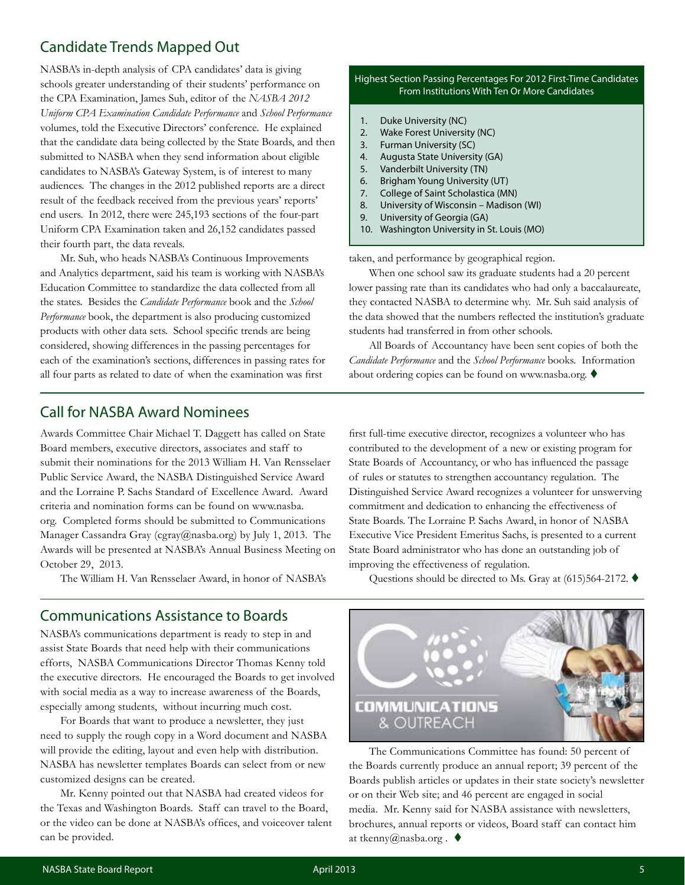## Candidate Trends Mapped Out

NASBA's in-depth analysis of CPA candidates' data is giving schools greater understanding of their students' performance on the CPA Examination, James Suh, editor of the *NASBA 2012 Uniform CPA Examination Candidate Performance* and *School Performance* volumes, told the Executive Directors' conference. He explained that the candidate data being collected by the State Boards, and then submitted to NASBA when they send information about eligible candidates to NASBA's Gateway System, is of interest to many audiences. The changes in the 2012 published reports are a direct result of the feedback received from the previous years' reports' end users. In 2012, there were 245,193 sections of the four-part Uniform CPA Examination taken and 26,152 candidates passed their fourth part, the data reveals.

Mr. Suh, who heads NASBA's Continuous Improvements and Analytics department, said his team is working with NASBA's Education Committee to standardize the data collected from all the states. Besides the *Candidate Performance* book and the *School Performance* book, the department is also producing customized products with other data sets. School specific trends are being considered, showing differences in the passing percentages for each of the examination's sections, differences in passing rates for all four parts as related to date of when the examination was first

#### Highest Section Passing Percentages For 2012 First-Time Candidates From Institutions With Ten Or More Candidates

- 1. Duke University (NC)
- 2. Wake Forest University (NC)
- 3. Furman University (SC)
- 4. Augusta State University (GA)
- 5. Vanderbilt University (TN)
- 6. Brigham Young University (UT)
- 7. College of Saint Scholastica (MN)
- 8. University of Wisconsin Madison (WI)
- 9. University of Georgia (GA)
- 10. Washington University in St. Louis (MO)

taken, and performance by geographical region.

When one school saw its graduate students had a 20 percent lower passing rate than its candidates who had only a baccalaureate, they contacted NASBA to determine why. Mr. Suh said analysis of the data showed that the numbers reflected the institution's graduate students had transferred in from other schools.

All Boards of Accountancy have been sent copies of both the *Candidate Performance* and the *School Performance* books. Information about ordering copies can be found on www.nasba.org.  $\blacklozenge$ 

#### Call for NASBA Award Nominees

Awards Committee Chair Michael T. Daggett has called on State Board members, executive directors, associates and staff to submit their nominations for the 2013 William H. Van Rensselaer Public Service Award, the NASBA Distinguished Service Award and the Lorraine P. Sachs Standard of Excellence Award. Award criteria and nomination forms can be found on www.nasba. org. Completed forms should be submitted to Communications Manager Cassandra Gray (cgray@nasba.org) by July 1, 2013. The Awards will be presented at NASBA's Annual Business Meeting on October 29, 2013.

The William H. Van Rensselaer Award, in honor of NASBA's

#### Communications Assistance to Boards

NASBA's communications department is ready to step in and assist State Boards that need help with their communications efforts, NASBA Communications Director Thomas Kenny told the executive directors. He encouraged the Boards to get involved with social media as a way to increase awareness of the Boards, especially among students, without incurring much cost.

For Boards that want to produce a newsletter, they just need to supply the rough copy in a Word document and NASBA will provide the editing, layout and even help with distribution. NASBA has newsletter templates Boards can select from or new customized designs can be created.

Mr. Kenny pointed out that NASBA had created videos for the Texas and Washington Boards. Staff can travel to the Board, or the video can be done at NASBA's offices, and voiceover talent can be provided.

first full-time executive director, recognizes a volunteer who has contributed to the development of a new or existing program for State Boards of Accountancy, or who has influenced the passage of rules or statutes to strengthen accountancy regulation. The Distinguished Service Award recognizes a volunteer for unswerving commitment and dedication to enhancing the effectiveness of State Boards. The Lorraine P. Sachs Award, in honor of NASBA Executive Vice President Emeritus Sachs, is presented to a current State Board administrator who has done an outstanding job of improving the effectiveness of regulation.

Questions should be directed to Ms. Gray at  $(615)564-2172$ .



The Communications Committee has found: 50 percent of the Boards currently produce an annual report; 39 percent of the Boards publish articles or updates in their state society's newsletter or on their Web site; and 46 percent are engaged in social media. Mr. Kenny said for NASBA assistance with newsletters, brochures, annual reports or videos, Board staff can contact him at tkenny@nasba.org.  $\blacklozenge$